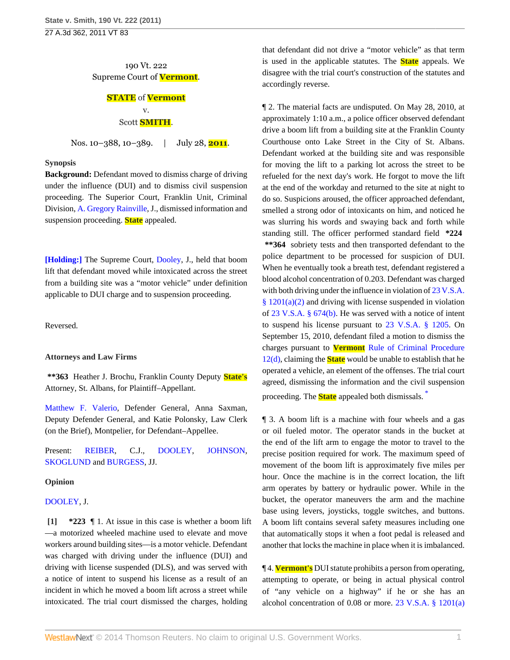27 A.3d 362, 2011 VT 83

190 Vt. 222 Supreme Court of **Vermont**.

# **STATE** of **Vermont** v.

## Scott **SMITH**.

Nos. 10–388, 10–389. | July 28, **2011**.

#### **Synopsis**

**Background:** Defendant moved to dismiss charge of driving under the influence (DUI) and to dismiss civil suspension proceeding. The Superior Court, Franklin Unit, Criminal Division, [A. Gregory Rainville,](http://www.westlaw.com/Link/Document/FullText?findType=h&pubNum=176284&cite=0396010203&originatingDoc=I7485051bb9a211e08bbeb4ca0e5b8ed9&refType=RQ&originationContext=document&vr=3.0&rs=cblt1.0&transitionType=DocumentItem&contextData=(sc.Search)) J., dismissed information and suspension proceeding. **State** appealed.

**[Holding:]** The Supreme Court, [Dooley](http://www.westlaw.com/Link/Document/FullText?findType=h&pubNum=176284&cite=0264531601&originatingDoc=I7485051bb9a211e08bbeb4ca0e5b8ed9&refType=RQ&originationContext=document&vr=3.0&rs=cblt1.0&transitionType=DocumentItem&contextData=(sc.Search)), J., held that boom lift that defendant moved while intoxicated across the street from a building site was a "motor vehicle" under definition applicable to DUI charge and to suspension proceeding.

Reversed.

#### **Attorneys and Law Firms**

**\*\*363** Heather J. Brochu, Franklin County Deputy **State's** Attorney, St. Albans, for Plaintiff–Appellant.

[Matthew F. Valerio,](http://www.westlaw.com/Link/Document/FullText?findType=h&pubNum=176284&cite=0193914301&originatingDoc=I7485051bb9a211e08bbeb4ca0e5b8ed9&refType=RQ&originationContext=document&vr=3.0&rs=cblt1.0&transitionType=DocumentItem&contextData=(sc.Search)) Defender General, Anna Saxman, Deputy Defender General, and Katie Polonsky, Law Clerk (on the Brief), Montpelier, for Defendant–Appellee.

Present: [REIBER,](http://www.westlaw.com/Link/Document/FullText?findType=h&pubNum=176284&cite=0141970501&originatingDoc=I7485051bb9a211e08bbeb4ca0e5b8ed9&refType=RQ&originationContext=document&vr=3.0&rs=cblt1.0&transitionType=DocumentItem&contextData=(sc.Search)) C.J., [DOOLEY,](http://www.westlaw.com/Link/Document/FullText?findType=h&pubNum=176284&cite=0264531601&originatingDoc=I7485051bb9a211e08bbeb4ca0e5b8ed9&refType=RQ&originationContext=document&vr=3.0&rs=cblt1.0&transitionType=DocumentItem&contextData=(sc.Search)) [JOHNSON](http://www.westlaw.com/Link/Document/FullText?findType=h&pubNum=176284&cite=0230836001&originatingDoc=I7485051bb9a211e08bbeb4ca0e5b8ed9&refType=RQ&originationContext=document&vr=3.0&rs=cblt1.0&transitionType=DocumentItem&contextData=(sc.Search)), [SKOGLUND](http://www.westlaw.com/Link/Document/FullText?findType=h&pubNum=176284&cite=0197190101&originatingDoc=I7485051bb9a211e08bbeb4ca0e5b8ed9&refType=RQ&originationContext=document&vr=3.0&rs=cblt1.0&transitionType=DocumentItem&contextData=(sc.Search)) and [BURGESS](http://www.westlaw.com/Link/Document/FullText?findType=h&pubNum=176284&cite=0119873701&originatingDoc=I7485051bb9a211e08bbeb4ca0e5b8ed9&refType=RQ&originationContext=document&vr=3.0&rs=cblt1.0&transitionType=DocumentItem&contextData=(sc.Search)), JJ.

#### **Opinion**

#### [DOOLEY](http://www.westlaw.com/Link/Document/FullText?findType=h&pubNum=176284&cite=0264531601&originatingDoc=I7485051bb9a211e08bbeb4ca0e5b8ed9&refType=RQ&originationContext=document&vr=3.0&rs=cblt1.0&transitionType=DocumentItem&contextData=(sc.Search)), J.

**[1] \*223** ¶ 1. At issue in this case is whether a boom lift —a motorized wheeled machine used to elevate and move workers around building sites—is a motor vehicle. Defendant was charged with driving under the influence (DUI) and driving with license suspended (DLS), and was served with a notice of intent to suspend his license as a result of an incident in which he moved a boom lift across a street while intoxicated. The trial court dismissed the charges, holding

that defendant did not drive a "motor vehicle" as that term is used in the applicable statutes. The **State** appeals. We disagree with the trial court's construction of the statutes and accordingly reverse.

¶ 2. The material facts are undisputed. On May 28, 2010, at approximately 1:10 a.m., a police officer observed defendant drive a boom lift from a building site at the Franklin County Courthouse onto Lake Street in the City of St. Albans. Defendant worked at the building site and was responsible for moving the lift to a parking lot across the street to be refueled for the next day's work. He forgot to move the lift at the end of the workday and returned to the site at night to do so. Suspicions aroused, the officer approached defendant, smelled a strong odor of intoxicants on him, and noticed he was slurring his words and swaying back and forth while standing still. The officer performed standard field **\*224 \*\*364** sobriety tests and then transported defendant to the police department to be processed for suspicion of DUI. When he eventually took a breath test, defendant registered a blood alcohol concentration of 0.203. Defendant was charged with both driving under the influence in violation of [23 V.S.A.](http://www.westlaw.com/Link/Document/FullText?findType=L&pubNum=1000883&cite=VTST23S1201&originatingDoc=I7485051bb9a211e08bbeb4ca0e5b8ed9&refType=SP&originationContext=document&vr=3.0&rs=cblt1.0&transitionType=DocumentItem&contextData=(sc.Search)#co_pp_d86d0000be040) [§ 1201\(a\)\(2\)](http://www.westlaw.com/Link/Document/FullText?findType=L&pubNum=1000883&cite=VTST23S1201&originatingDoc=I7485051bb9a211e08bbeb4ca0e5b8ed9&refType=SP&originationContext=document&vr=3.0&rs=cblt1.0&transitionType=DocumentItem&contextData=(sc.Search)#co_pp_d86d0000be040) and driving with license suspended in violation of [23 V.S.A. § 674\(b\)](http://www.westlaw.com/Link/Document/FullText?findType=L&pubNum=1000883&cite=VTST23S674&originatingDoc=I7485051bb9a211e08bbeb4ca0e5b8ed9&refType=SP&originationContext=document&vr=3.0&rs=cblt1.0&transitionType=DocumentItem&contextData=(sc.Search)#co_pp_a83b000018c76). He was served with a notice of intent to suspend his license pursuant to [23 V.S.A. § 1205.](http://www.westlaw.com/Link/Document/FullText?findType=L&pubNum=1000883&cite=VTST23S1205&originatingDoc=I7485051bb9a211e08bbeb4ca0e5b8ed9&refType=LQ&originationContext=document&vr=3.0&rs=cblt1.0&transitionType=DocumentItem&contextData=(sc.Search)) On September 15, 2010, defendant filed a motion to dismiss the charges pursuant to **Vermont** [Rule of Criminal Procedure](http://www.westlaw.com/Link/Document/FullText?findType=L&pubNum=1006374&cite=VTRRCRPR12&originatingDoc=I7485051bb9a211e08bbeb4ca0e5b8ed9&refType=LQ&originationContext=document&vr=3.0&rs=cblt1.0&transitionType=DocumentItem&contextData=(sc.Search)) [12\(d\),](http://www.westlaw.com/Link/Document/FullText?findType=L&pubNum=1006374&cite=VTRRCRPR12&originatingDoc=I7485051bb9a211e08bbeb4ca0e5b8ed9&refType=LQ&originationContext=document&vr=3.0&rs=cblt1.0&transitionType=DocumentItem&contextData=(sc.Search)) claiming the **State** would be unable to establish that he operated a vehicle, an element of the offenses. The trial court agreed, dismissing the information and the civil suspension proceeding. The **State** appealed both dismissals. [\\*](#page-2-0)

<span id="page-0-0"></span>¶ 3. A boom lift is a machine with four wheels and a gas or oil fueled motor. The operator stands in the bucket at the end of the lift arm to engage the motor to travel to the precise position required for work. The maximum speed of movement of the boom lift is approximately five miles per hour. Once the machine is in the correct location, the lift arm operates by battery or hydraulic power. While in the bucket, the operator maneuvers the arm and the machine base using levers, joysticks, toggle switches, and buttons. A boom lift contains several safety measures including one that automatically stops it when a foot pedal is released and another that locks the machine in place when it is imbalanced.

¶ 4. **Vermont's** DUI statute prohibits a person from operating, attempting to operate, or being in actual physical control of "any vehicle on a highway" if he or she has an alcohol concentration of 0.08 or more. [23 V.S.A. § 1201\(a\)](http://www.westlaw.com/Link/Document/FullText?findType=L&pubNum=1000883&cite=VTST23S1201&originatingDoc=I7485051bb9a211e08bbeb4ca0e5b8ed9&refType=SP&originationContext=document&vr=3.0&rs=cblt1.0&transitionType=DocumentItem&contextData=(sc.Search)#co_pp_7b9b000044381)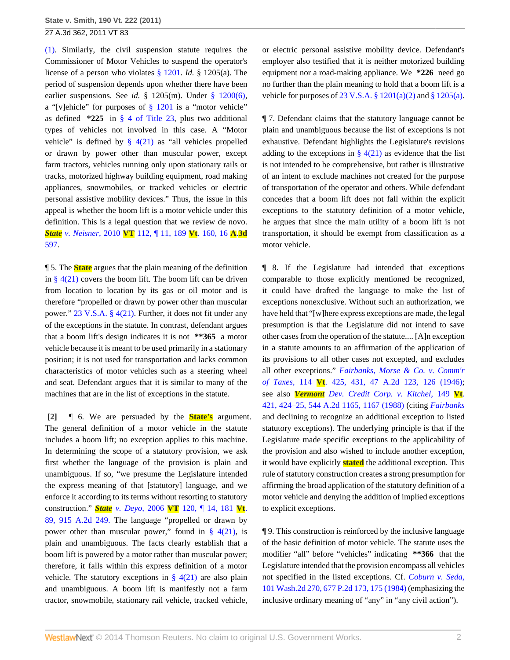27 A.3d 362, 2011 VT 83

[\(1\).](http://www.westlaw.com/Link/Document/FullText?findType=L&pubNum=1000883&cite=VTST23S1201&originatingDoc=I7485051bb9a211e08bbeb4ca0e5b8ed9&refType=SP&originationContext=document&vr=3.0&rs=cblt1.0&transitionType=DocumentItem&contextData=(sc.Search)#co_pp_7b9b000044381) Similarly, the civil suspension statute requires the Commissioner of Motor Vehicles to suspend the operator's license of a person who violates [§ 1201.](http://www.westlaw.com/Link/Document/FullText?findType=L&pubNum=1000883&cite=VTST23S1201&originatingDoc=I7485051bb9a211e08bbeb4ca0e5b8ed9&refType=LQ&originationContext=document&vr=3.0&rs=cblt1.0&transitionType=DocumentItem&contextData=(sc.Search)) *Id.* § 1205(a). The period of suspension depends upon whether there have been earlier suspensions. See *id.* § 1205(m). Under [§ 1200\(6\)](http://www.westlaw.com/Link/Document/FullText?findType=L&pubNum=1000883&cite=VTST23S1200&originatingDoc=I7485051bb9a211e08bbeb4ca0e5b8ed9&refType=SP&originationContext=document&vr=3.0&rs=cblt1.0&transitionType=DocumentItem&contextData=(sc.Search)#co_pp_1e9a0000fd6a3), a "[v]ehicle" for purposes of [§ 1201](http://www.westlaw.com/Link/Document/FullText?findType=L&pubNum=1000883&cite=VTST23S1201&originatingDoc=I7485051bb9a211e08bbeb4ca0e5b8ed9&refType=LQ&originationContext=document&vr=3.0&rs=cblt1.0&transitionType=DocumentItem&contextData=(sc.Search)) is a "motor vehicle" as defined **\*225** in [§ 4 of Title 23](http://www.westlaw.com/Link/Document/FullText?findType=L&pubNum=1000883&cite=VTST23S4&originatingDoc=I7485051bb9a211e08bbeb4ca0e5b8ed9&refType=LQ&originationContext=document&vr=3.0&rs=cblt1.0&transitionType=DocumentItem&contextData=(sc.Search)), plus two additional types of vehicles not involved in this case. A "Motor vehicle" is defined by  $\S$  4(21) as "all vehicles propelled or drawn by power other than muscular power, except farm tractors, vehicles running only upon stationary rails or tracks, motorized highway building equipment, road making appliances, snowmobiles, or tracked vehicles or electric personal assistive mobility devices." Thus, the issue in this appeal is whether the boom lift is a motor vehicle under this definition. This is a legal question that we review de novo. *State v. Neisner,* 2010 **VT** [112, ¶ 11, 189](http://www.westlaw.com/Link/Document/FullText?findType=Y&serNum=2024251623&pubNum=7691&originationContext=document&vr=3.0&rs=cblt1.0&transitionType=DocumentItem&contextData=(sc.Search)) **Vt**. 160, 16 **A**.**3d** [597](http://www.westlaw.com/Link/Document/FullText?findType=Y&serNum=2024251623&pubNum=7691&originationContext=document&vr=3.0&rs=cblt1.0&transitionType=DocumentItem&contextData=(sc.Search)).

¶ 5. The **State** argues that the plain meaning of the definition in  $\S$  4(21) covers the boom lift. The boom lift can be driven from location to location by its gas or oil motor and is therefore "propelled or drawn by power other than muscular power." [23 V.S.A. § 4\(21\).](http://www.westlaw.com/Link/Document/FullText?findType=L&pubNum=1000883&cite=VTST23S4&originatingDoc=I7485051bb9a211e08bbeb4ca0e5b8ed9&refType=SP&originationContext=document&vr=3.0&rs=cblt1.0&transitionType=DocumentItem&contextData=(sc.Search)#co_pp_6a62000089fb7) Further, it does not fit under any of the exceptions in the statute. In contrast, defendant argues that a boom lift's design indicates it is not **\*\*365** a motor vehicle because it is meant to be used primarily in a stationary position; it is not used for transportation and lacks common characteristics of motor vehicles such as a steering wheel and seat. Defendant argues that it is similar to many of the machines that are in the list of exceptions in the statute.

**[2]** ¶ 6. We are persuaded by the **State's** argument. The general definition of a motor vehicle in the statute includes a boom lift; no exception applies to this machine. In determining the scope of a statutory provision, we ask first whether the language of the provision is plain and unambiguous. If so, "we presume the Legislature intended the express meaning of that [statutory] language, and we enforce it according to its terms without resorting to statutory construction." *State v. Deyo,* 2006 **VT** [120, ¶ 14, 181](http://www.westlaw.com/Link/Document/FullText?findType=Y&serNum=2010705778&pubNum=162&originationContext=document&vr=3.0&rs=cblt1.0&transitionType=DocumentItem&contextData=(sc.Search)) **Vt**. [89, 915 A.2d 249.](http://www.westlaw.com/Link/Document/FullText?findType=Y&serNum=2010705778&pubNum=162&originationContext=document&vr=3.0&rs=cblt1.0&transitionType=DocumentItem&contextData=(sc.Search)) The language "propelled or drawn by power other than muscular power," found in  $\S$  4(21), is plain and unambiguous. The facts clearly establish that a boom lift is powered by a motor rather than muscular power; therefore, it falls within this express definition of a motor vehicle. The statutory exceptions in  $\S$  4(21) are also plain and unambiguous. A boom lift is manifestly not a farm tractor, snowmobile, stationary rail vehicle, tracked vehicle,

or electric personal assistive mobility device. Defendant's employer also testified that it is neither motorized building equipment nor a road-making appliance. We **\*226** need go no further than the plain meaning to hold that a boom lift is a vehicle for purposes of 23 V.S.A. §  $1201(a)(2)$  and §  $1205(a)$ .

¶ 7. Defendant claims that the statutory language cannot be plain and unambiguous because the list of exceptions is not exhaustive. Defendant highlights the Legislature's revisions adding to the exceptions in  $\S 4(21)$  as evidence that the list is not intended to be comprehensive, but rather is illustrative of an intent to exclude machines not created for the purpose of transportation of the operator and others. While defendant concedes that a boom lift does not fall within the explicit exceptions to the statutory definition of a motor vehicle, he argues that since the main utility of a boom lift is not transportation, it should be exempt from classification as a motor vehicle.

¶ 8. If the Legislature had intended that exceptions comparable to those explicitly mentioned be recognized, it could have drafted the language to make the list of exceptions nonexclusive. Without such an authorization, we have held that "[w]here express exceptions are made, the legal presumption is that the Legislature did not intend to save other cases from the operation of the statute.... [A]n exception in a statute amounts to an affirmation of the application of its provisions to all other cases not excepted, and excludes all other exceptions." *[Fairbanks, Morse & Co. v. Comm'r](http://www.westlaw.com/Link/Document/FullText?findType=Y&serNum=1946108047&pubNum=162&fi=co_pp_sp_162_126&originationContext=document&vr=3.0&rs=cblt1.0&transitionType=DocumentItem&contextData=(sc.Search)#co_pp_sp_162_126) of Taxes,* 114 **Vt**[. 425, 431, 47 A.2d 123, 126 \(1946\)](http://www.westlaw.com/Link/Document/FullText?findType=Y&serNum=1946108047&pubNum=162&fi=co_pp_sp_162_126&originationContext=document&vr=3.0&rs=cblt1.0&transitionType=DocumentItem&contextData=(sc.Search)#co_pp_sp_162_126); see also *Vermont [Dev. Credit Corp. v. Kitchel,](http://www.westlaw.com/Link/Document/FullText?findType=Y&serNum=1988089537&pubNum=162&fi=co_pp_sp_162_1167&originationContext=document&vr=3.0&rs=cblt1.0&transitionType=DocumentItem&contextData=(sc.Search)#co_pp_sp_162_1167)* 149 **Vt**. [421, 424–25, 544 A.2d 1165, 1167 \(1988\)](http://www.westlaw.com/Link/Document/FullText?findType=Y&serNum=1988089537&pubNum=162&fi=co_pp_sp_162_1167&originationContext=document&vr=3.0&rs=cblt1.0&transitionType=DocumentItem&contextData=(sc.Search)#co_pp_sp_162_1167) (citing *[Fairbanks](http://www.westlaw.com/Link/Document/FullText?findType=Y&serNum=1946108047&originationContext=document&vr=3.0&rs=cblt1.0&transitionType=DocumentItem&contextData=(sc.Search))* and declining to recognize an additional exception to listed statutory exceptions). The underlying principle is that if the Legislature made specific exceptions to the applicability of the provision and also wished to include another exception, it would have explicitly **stated** the additional exception. This rule of statutory construction creates a strong presumption for affirming the broad application of the statutory definition of a motor vehicle and denying the addition of implied exceptions to explicit exceptions.

¶ 9. This construction is reinforced by the inclusive language of the basic definition of motor vehicle. The statute uses the modifier "all" before "vehicles" indicating **\*\*366** that the Legislature intended that the provision encompass all vehicles not specified in the listed exceptions. Cf. *[Coburn v. Seda,](http://www.westlaw.com/Link/Document/FullText?findType=Y&serNum=1984109893&pubNum=661&fi=co_pp_sp_661_175&originationContext=document&vr=3.0&rs=cblt1.0&transitionType=DocumentItem&contextData=(sc.Search)#co_pp_sp_661_175)* [101 Wash.2d 270, 677 P.2d 173, 175 \(1984\)](http://www.westlaw.com/Link/Document/FullText?findType=Y&serNum=1984109893&pubNum=661&fi=co_pp_sp_661_175&originationContext=document&vr=3.0&rs=cblt1.0&transitionType=DocumentItem&contextData=(sc.Search)#co_pp_sp_661_175) (emphasizing the inclusive ordinary meaning of "any" in "any civil action").